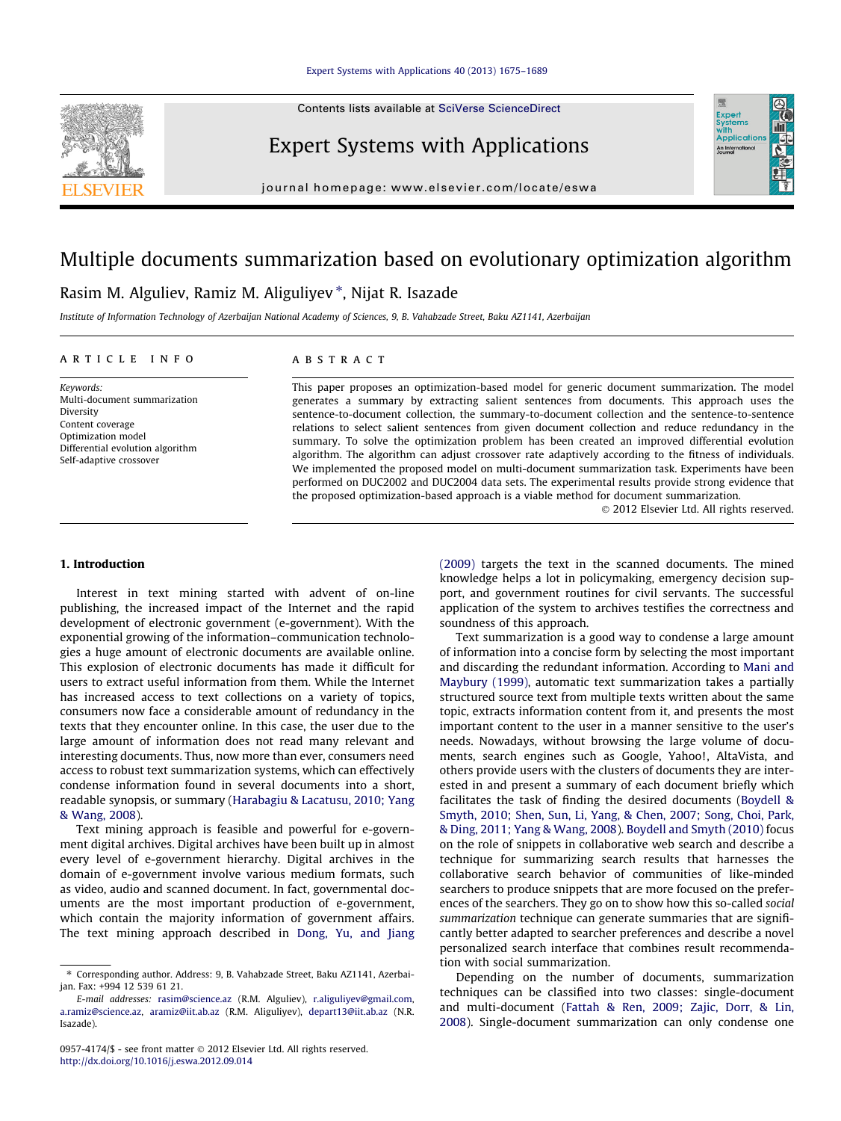Contents lists available at [SciVerse ScienceDirect](http://www.sciencedirect.com/science/journal/09574174)



### Expert Systems with Applications

journal homepage: [www.elsevier.com/locate/eswa](http://www.elsevier.com/locate/eswa)

## Multiple documents summarization based on evolutionary optimization algorithm

#### Rasim M. Alguliev, Ramiz M. Aliguliyev \*, Nijat R. Isazade

Institute of Information Technology of Azerbaijan National Academy of Sciences, 9, B. Vahabzade Street, Baku AZ1141, Azerbaijan

#### article info

Keywords: Multi-document summarization Diversity Content coverage Optimization model Differential evolution algorithm Self-adaptive crossover

#### ABSTRACT

This paper proposes an optimization-based model for generic document summarization. The model generates a summary by extracting salient sentences from documents. This approach uses the sentence-to-document collection, the summary-to-document collection and the sentence-to-sentence relations to select salient sentences from given document collection and reduce redundancy in the summary. To solve the optimization problem has been created an improved differential evolution algorithm. The algorithm can adjust crossover rate adaptively according to the fitness of individuals. We implemented the proposed model on multi-document summarization task. Experiments have been performed on DUC2002 and DUC2004 data sets. The experimental results provide strong evidence that the proposed optimization-based approach is a viable method for document summarization.

- 2012 Elsevier Ltd. All rights reserved.

Expert<br>Syster Applicatio An Internat

#### 1. Introduction

Interest in text mining started with advent of on-line publishing, the increased impact of the Internet and the rapid development of electronic government (e-government). With the exponential growing of the information–communication technologies a huge amount of electronic documents are available online. This explosion of electronic documents has made it difficult for users to extract useful information from them. While the Internet has increased access to text collections on a variety of topics, consumers now face a considerable amount of redundancy in the texts that they encounter online. In this case, the user due to the large amount of information does not read many relevant and interesting documents. Thus, now more than ever, consumers need access to robust text summarization systems, which can effectively condense information found in several documents into a short, readable synopsis, or summary ([Harabagiu & Lacatusu, 2010; Yang](#page--1-0) [& Wang, 2008](#page--1-0)).

Text mining approach is feasible and powerful for e-government digital archives. Digital archives have been built up in almost every level of e-government hierarchy. Digital archives in the domain of e-government involve various medium formats, such as video, audio and scanned document. In fact, governmental documents are the most important production of e-government, which contain the majority information of government affairs. The text mining approach described in [Dong, Yu, and Jiang](#page--1-0) [\(2009\)](#page--1-0) targets the text in the scanned documents. The mined knowledge helps a lot in policymaking, emergency decision support, and government routines for civil servants. The successful application of the system to archives testifies the correctness and soundness of this approach.

Text summarization is a good way to condense a large amount of information into a concise form by selecting the most important and discarding the redundant information. According to [Mani and](#page--1-0) [Maybury \(1999\)](#page--1-0), automatic text summarization takes a partially structured source text from multiple texts written about the same topic, extracts information content from it, and presents the most important content to the user in a manner sensitive to the user's needs. Nowadays, without browsing the large volume of documents, search engines such as Google, Yahoo!, AltaVista, and others provide users with the clusters of documents they are interested in and present a summary of each document briefly which facilitates the task of finding the desired documents ([Boydell &](#page--1-0) [Smyth, 2010; Shen, Sun, Li, Yang, & Chen, 2007; Song, Choi, Park,](#page--1-0) [& Ding, 2011; Yang & Wang, 2008](#page--1-0)). [Boydell and Smyth \(2010\)](#page--1-0) focus on the role of snippets in collaborative web search and describe a technique for summarizing search results that harnesses the collaborative search behavior of communities of like-minded searchers to produce snippets that are more focused on the preferences of the searchers. They go on to show how this so-called social summarization technique can generate summaries that are significantly better adapted to searcher preferences and describe a novel personalized search interface that combines result recommendation with social summarization.

Depending on the number of documents, summarization techniques can be classified into two classes: single-document and multi-document ([Fattah & Ren, 2009; Zajic, Dorr, & Lin,](#page--1-0) [2008](#page--1-0)). Single-document summarization can only condense one

<sup>⇑</sup> Corresponding author. Address: 9, B. Vahabzade Street, Baku AZ1141, Azerbaijan. Fax: +994 12 539 61 21.

E-mail addresses: [rasim@science.az](mailto:rasim@science.az) (R.M. Alguliev), [r.aliguliyev@gmail.com](mailto:r.aliguliyev@gmail.com), [a.ramiz@science.az](mailto:a.ramiz@science.az), [aramiz@iit.ab.az](mailto:aramiz@iit.ab.az) (R.M. Aliguliyev), [depart13@iit.ab.az](mailto:depart13@iit.ab.az) (N.R. Isazade).

<sup>0957-4174/\$ -</sup> see front matter © 2012 Elsevier Ltd. All rights reserved. <http://dx.doi.org/10.1016/j.eswa.2012.09.014>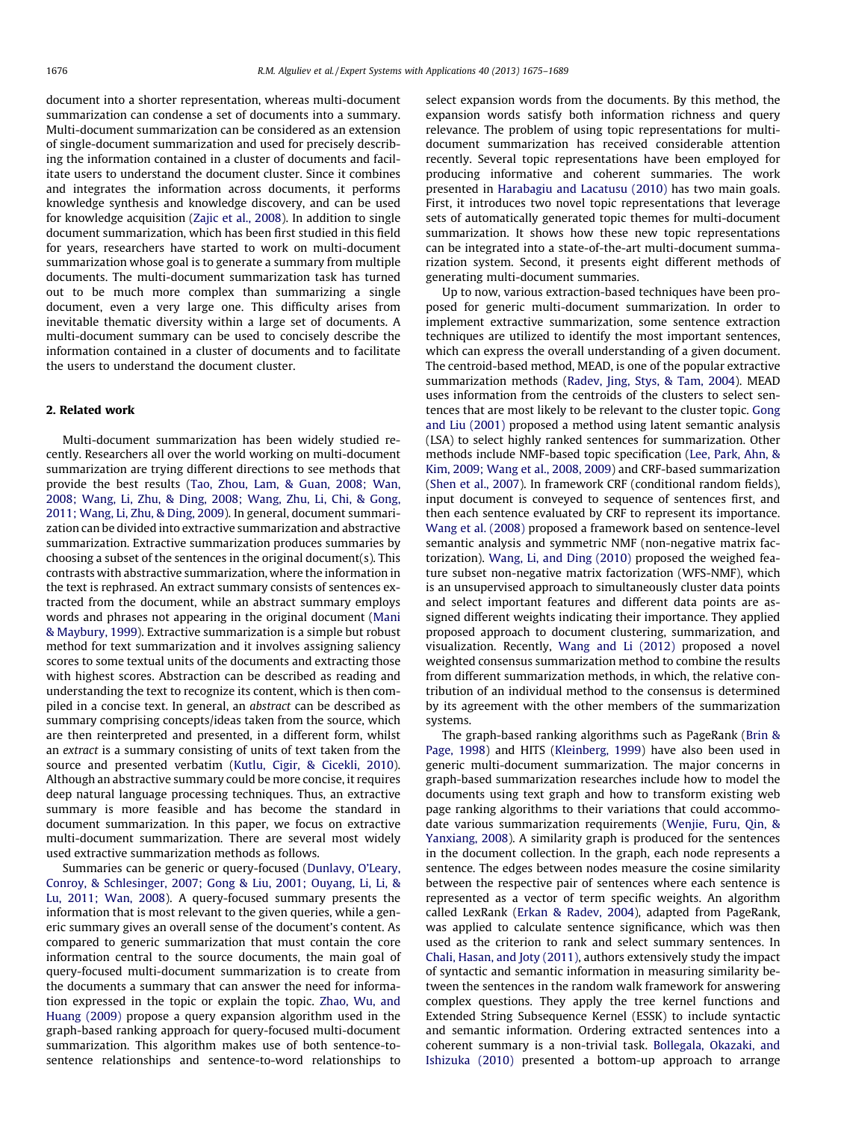document into a shorter representation, whereas multi-document summarization can condense a set of documents into a summary. Multi-document summarization can be considered as an extension of single-document summarization and used for precisely describing the information contained in a cluster of documents and facilitate users to understand the document cluster. Since it combines and integrates the information across documents, it performs knowledge synthesis and knowledge discovery, and can be used for knowledge acquisition [\(Zajic et al., 2008](#page--1-0)). In addition to single document summarization, which has been first studied in this field for years, researchers have started to work on multi-document summarization whose goal is to generate a summary from multiple documents. The multi-document summarization task has turned out to be much more complex than summarizing a single document, even a very large one. This difficulty arises from inevitable thematic diversity within a large set of documents. A multi-document summary can be used to concisely describe the information contained in a cluster of documents and to facilitate the users to understand the document cluster.

#### 2. Related work

Multi-document summarization has been widely studied recently. Researchers all over the world working on multi-document summarization are trying different directions to see methods that provide the best results [\(Tao, Zhou, Lam, & Guan, 2008; Wan,](#page--1-0) [2008; Wang, Li, Zhu, & Ding, 2008; Wang, Zhu, Li, Chi, & Gong,](#page--1-0) [2011; Wang, Li, Zhu, & Ding, 2009\)](#page--1-0). In general, document summarization can be divided into extractive summarization and abstractive summarization. Extractive summarization produces summaries by choosing a subset of the sentences in the original document(s). This contrasts with abstractive summarization, where the information in the text is rephrased. An extract summary consists of sentences extracted from the document, while an abstract summary employs words and phrases not appearing in the original document [\(Mani](#page--1-0) [& Maybury, 1999](#page--1-0)). Extractive summarization is a simple but robust method for text summarization and it involves assigning saliency scores to some textual units of the documents and extracting those with highest scores. Abstraction can be described as reading and understanding the text to recognize its content, which is then compiled in a concise text. In general, an abstract can be described as summary comprising concepts/ideas taken from the source, which are then reinterpreted and presented, in a different form, whilst an extract is a summary consisting of units of text taken from the source and presented verbatim ([Kutlu, Cigir, & Cicekli, 2010\)](#page--1-0). Although an abstractive summary could be more concise, it requires deep natural language processing techniques. Thus, an extractive summary is more feasible and has become the standard in document summarization. In this paper, we focus on extractive multi-document summarization. There are several most widely used extractive summarization methods as follows.

Summaries can be generic or query-focused ([Dunlavy, O'Leary,](#page--1-0) [Conroy, & Schlesinger, 2007; Gong & Liu, 2001; Ouyang, Li, Li, &](#page--1-0) [Lu, 2011; Wan, 2008](#page--1-0)). A query-focused summary presents the information that is most relevant to the given queries, while a generic summary gives an overall sense of the document's content. As compared to generic summarization that must contain the core information central to the source documents, the main goal of query-focused multi-document summarization is to create from the documents a summary that can answer the need for information expressed in the topic or explain the topic. [Zhao, Wu, and](#page--1-0) [Huang \(2009\)](#page--1-0) propose a query expansion algorithm used in the graph-based ranking approach for query-focused multi-document summarization. This algorithm makes use of both sentence-tosentence relationships and sentence-to-word relationships to select expansion words from the documents. By this method, the expansion words satisfy both information richness and query relevance. The problem of using topic representations for multidocument summarization has received considerable attention recently. Several topic representations have been employed for producing informative and coherent summaries. The work presented in [Harabagiu and Lacatusu \(2010\)](#page--1-0) has two main goals. First, it introduces two novel topic representations that leverage sets of automatically generated topic themes for multi-document summarization. It shows how these new topic representations can be integrated into a state-of-the-art multi-document summarization system. Second, it presents eight different methods of generating multi-document summaries.

Up to now, various extraction-based techniques have been proposed for generic multi-document summarization. In order to implement extractive summarization, some sentence extraction techniques are utilized to identify the most important sentences, which can express the overall understanding of a given document. The centroid-based method, MEAD, is one of the popular extractive summarization methods ([Radev, Jing, Stys, & Tam, 2004\)](#page--1-0). MEAD uses information from the centroids of the clusters to select sentences that are most likely to be relevant to the cluster topic. [Gong](#page--1-0) [and Liu \(2001\)](#page--1-0) proposed a method using latent semantic analysis (LSA) to select highly ranked sentences for summarization. Other methods include NMF-based topic specification ([Lee, Park, Ahn, &](#page--1-0) [Kim, 2009; Wang et al., 2008, 2009](#page--1-0)) and CRF-based summarization ([Shen et al., 2007](#page--1-0)). In framework CRF (conditional random fields), input document is conveyed to sequence of sentences first, and then each sentence evaluated by CRF to represent its importance. [Wang et al. \(2008\)](#page--1-0) proposed a framework based on sentence-level semantic analysis and symmetric NMF (non-negative matrix factorization). [Wang, Li, and Ding \(2010\)](#page--1-0) proposed the weighed feature subset non-negative matrix factorization (WFS-NMF), which is an unsupervised approach to simultaneously cluster data points and select important features and different data points are assigned different weights indicating their importance. They applied proposed approach to document clustering, summarization, and visualization. Recently, [Wang and Li \(2012\)](#page--1-0) proposed a novel weighted consensus summarization method to combine the results from different summarization methods, in which, the relative contribution of an individual method to the consensus is determined by its agreement with the other members of the summarization systems.

The graph-based ranking algorithms such as PageRank [\(Brin &](#page--1-0) [Page, 1998](#page--1-0)) and HITS [\(Kleinberg, 1999](#page--1-0)) have also been used in generic multi-document summarization. The major concerns in graph-based summarization researches include how to model the documents using text graph and how to transform existing web page ranking algorithms to their variations that could accommodate various summarization requirements [\(Wenjie, Furu, Qin, &](#page--1-0) [Yanxiang, 2008](#page--1-0)). A similarity graph is produced for the sentences in the document collection. In the graph, each node represents a sentence. The edges between nodes measure the cosine similarity between the respective pair of sentences where each sentence is represented as a vector of term specific weights. An algorithm called LexRank [\(Erkan & Radev, 2004](#page--1-0)), adapted from PageRank, was applied to calculate sentence significance, which was then used as the criterion to rank and select summary sentences. In [Chali, Hasan, and Joty \(2011\),](#page--1-0) authors extensively study the impact of syntactic and semantic information in measuring similarity between the sentences in the random walk framework for answering complex questions. They apply the tree kernel functions and Extended String Subsequence Kernel (ESSK) to include syntactic and semantic information. Ordering extracted sentences into a coherent summary is a non-trivial task. [Bollegala, Okazaki, and](#page--1-0) [Ishizuka \(2010\)](#page--1-0) presented a bottom-up approach to arrange